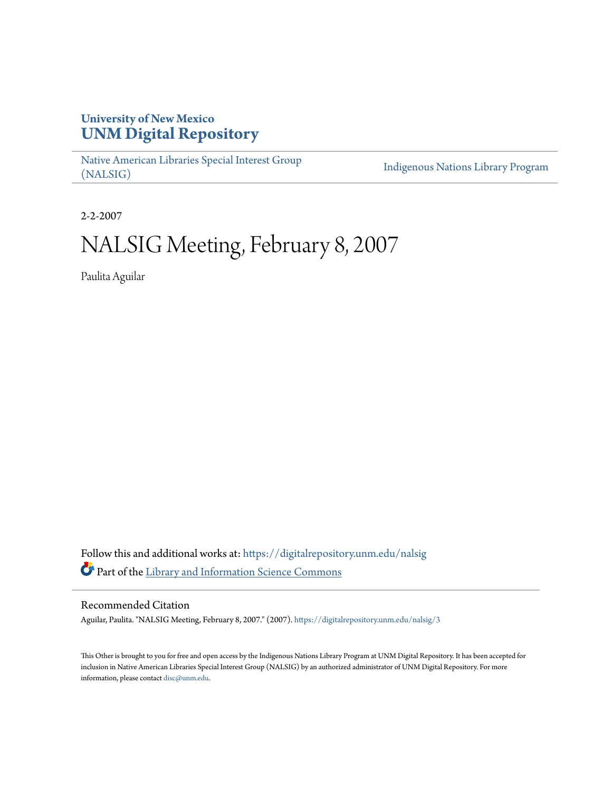## **University of New Mexico [UNM Digital Repository](https://digitalrepository.unm.edu?utm_source=digitalrepository.unm.edu%2Fnalsig%2F3&utm_medium=PDF&utm_campaign=PDFCoverPages)**

[Native American Libraries Special Interest Group](https://digitalrepository.unm.edu/nalsig?utm_source=digitalrepository.unm.edu%2Fnalsig%2F3&utm_medium=PDF&utm_campaign=PDFCoverPages) [\(NALSIG\)](https://digitalrepository.unm.edu/nalsig?utm_source=digitalrepository.unm.edu%2Fnalsig%2F3&utm_medium=PDF&utm_campaign=PDFCoverPages)

[Indigenous Nations Library Program](https://digitalrepository.unm.edu/inlp?utm_source=digitalrepository.unm.edu%2Fnalsig%2F3&utm_medium=PDF&utm_campaign=PDFCoverPages)

2-2-2007

## NALSIG Meeting, February 8, 2007

Paulita Aguilar

Follow this and additional works at: [https://digitalrepository.unm.edu/nalsig](https://digitalrepository.unm.edu/nalsig?utm_source=digitalrepository.unm.edu%2Fnalsig%2F3&utm_medium=PDF&utm_campaign=PDFCoverPages) Part of the [Library and Information Science Commons](http://network.bepress.com/hgg/discipline/1018?utm_source=digitalrepository.unm.edu%2Fnalsig%2F3&utm_medium=PDF&utm_campaign=PDFCoverPages)

## Recommended Citation

Aguilar, Paulita. "NALSIG Meeting, February 8, 2007." (2007). [https://digitalrepository.unm.edu/nalsig/3](https://digitalrepository.unm.edu/nalsig/3?utm_source=digitalrepository.unm.edu%2Fnalsig%2F3&utm_medium=PDF&utm_campaign=PDFCoverPages)

This Other is brought to you for free and open access by the Indigenous Nations Library Program at UNM Digital Repository. It has been accepted for inclusion in Native American Libraries Special Interest Group (NALSIG) by an authorized administrator of UNM Digital Repository. For more information, please contact [disc@unm.edu.](mailto:disc@unm.edu)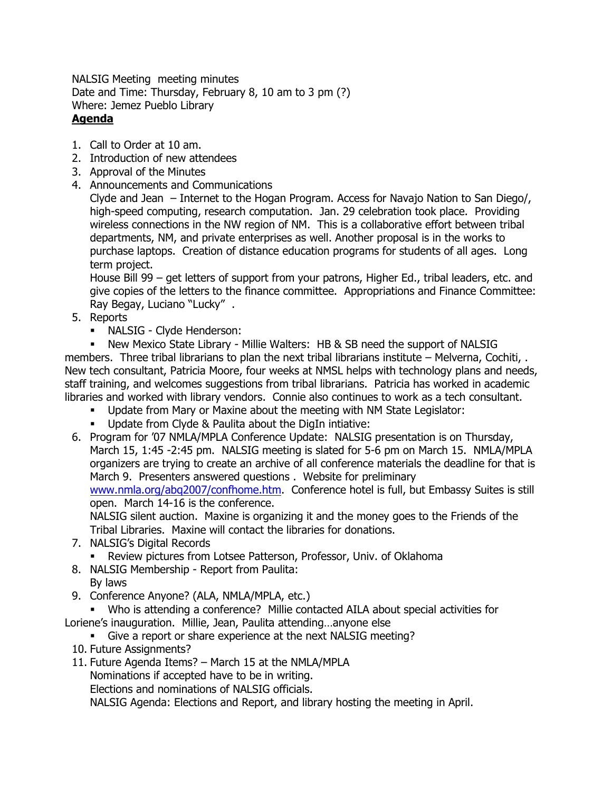NALSIG Meeting meeting minutes Date and Time: Thursday, February 8, 10 am to 3 pm (?) Where: Jemez Pueblo Library **Agenda**

- 1. Call to Order at 10 am.
- 2. Introduction of new attendees
- 3. Approval of the Minutes
- 4. Announcements and Communications

Clyde and Jean – Internet to the Hogan Program. Access for Navajo Nation to San Diego/, high-speed computing, research computation. Jan. 29 celebration took place. Providing wireless connections in the NW region of NM. This is a collaborative effort between tribal departments, NM, and private enterprises as well. Another proposal is in the works to purchase laptops. Creation of distance education programs for students of all ages. Long term project.

House Bill 99 – get letters of support from your patrons, Higher Ed., tribal leaders, etc. and give copies of the letters to the finance committee. Appropriations and Finance Committee: Ray Begay, Luciano "Lucky" .

- 5. Reports
	- NALSIG Clyde Henderson:

 New Mexico State Library - Millie Walters: HB & SB need the support of NALSIG members. Three tribal librarians to plan the next tribal librarians institute – Melverna, Cochiti, . New tech consultant, Patricia Moore, four weeks at NMSL helps with technology plans and needs, staff training, and welcomes suggestions from tribal librarians. Patricia has worked in academic libraries and worked with library vendors. Connie also continues to work as a tech consultant.

- Update from Mary or Maxine about the meeting with NM State Legislator:
- Update from Clyde & Paulita about the DigIn intiative:
- 6. Program for '07 NMLA/MPLA Conference Update: NALSIG presentation is on Thursday, March 15, 1:45 -2:45 pm. NALSIG meeting is slated for 5-6 pm on March 15. NMLA/MPLA organizers are trying to create an archive of all conference materials the deadline for that is March 9. Presenters answered questions . Website for preliminary [www.nmla.org/abq2007/confhome.htm.](http://www.nmla.org/abq2007/confhome.htm) Conference hotel is full, but Embassy Suites is still

open. March 14-16 is the conference.

NALSIG silent auction. Maxine is organizing it and the money goes to the Friends of the Tribal Libraries. Maxine will contact the libraries for donations.

- 7. NALSIG's Digital Records
	- Review pictures from Lotsee Patterson, Professor, Univ. of Oklahoma
- 8. NALSIG Membership Report from Paulita: By laws
- 9. Conference Anyone? (ALA, NMLA/MPLA, etc.)

Who is attending a conference? Millie contacted AILA about special activities for

- Loriene's inauguration. Millie, Jean, Paulita attending…anyone else
	- Give a report or share experience at the next NALSIG meeting?
	- 10. Future Assignments?
	- 11. Future Agenda Items? March 15 at the NMLA/MPLA

Nominations if accepted have to be in writing.

Elections and nominations of NALSIG officials.

NALSIG Agenda: Elections and Report, and library hosting the meeting in April.